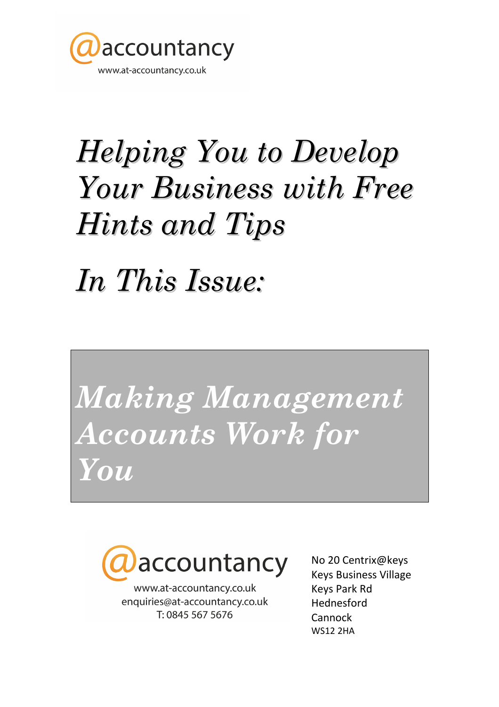

# Helping You to Develop Your Business with Free Hints and Tips

In This Issue:

Making Management Accounts Work for You



www.at-accountancy.co.uk enquiries@at-accountancy.co.uk T: 0845 567 5676

No 20 Centrix@keys Keys Business Village Keys Park Rd Hednesford Cannock WS12 2HA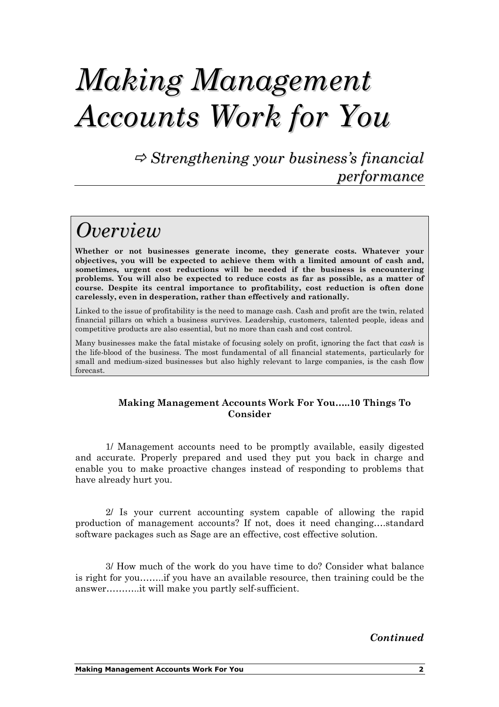## Making Management Accounts Work for You

 $\Rightarrow$  Strengthening your business's financial performance

#### **Overview**

Whether or not businesses generate income, they generate costs. Whatever your objectives, you will be expected to achieve them with a limited amount of cash and, sometimes, urgent cost reductions will be needed if the business is encountering problems. You will also be expected to reduce costs as far as possible, as a matter of course. Despite its central importance to profitability, cost reduction is often done carelessly, even in desperation, rather than effectively and rationally.

Linked to the issue of profitability is the need to manage cash. Cash and profit are the twin, related financial pillars on which a business survives. Leadership, customers, talented people, ideas and competitive products are also essential, but no more than cash and cost control.

Many businesses make the fatal mistake of focusing solely on profit, ignoring the fact that *cash* is the life-blood of the business. The most fundamental of all financial statements, particularly for small and medium-sized businesses but also highly relevant to large companies, is the cash flow forecast.

#### Making Management Accounts Work For You…..10 Things To Consider

1/ Management accounts need to be promptly available, easily digested and accurate. Properly prepared and used they put you back in charge and enable you to make proactive changes instead of responding to problems that have already hurt you.

2/ Is your current accounting system capable of allowing the rapid production of management accounts? If not, does it need changing….standard software packages such as Sage are an effective, cost effective solution.

3/ How much of the work do you have time to do? Consider what balance is right for you……..if you have an available resource, then training could be the answer………..it will make you partly self-sufficient.

Continued